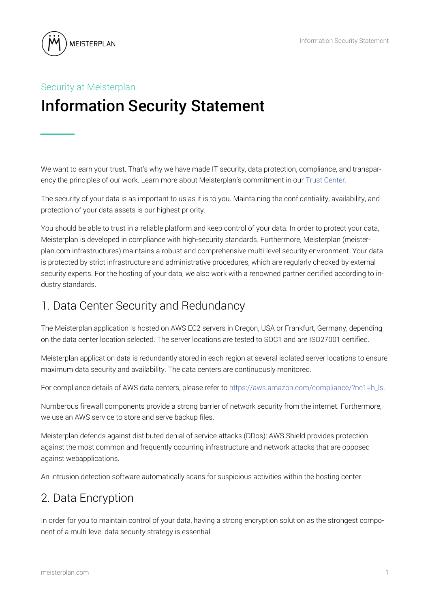

# Security at Meisterplan Information Security Statement

We want to earn your trust. That's why we have made IT security, data protection, compliance, and transparency the principles of our work. Learn more about Meisterplan's commitment in our [Trust Center.](https://meisterplan.com/trust-center/)

The security of your data is as important to us as it is to you. Maintaining the confidentiality, availability, and protection of your data assets is our highest priority.

You should be able to trust in a reliable platform and keep control of your data. In order to protect your data, Meisterplan is developed in compliance with high-security standards. Furthermore, Meisterplan (meisterplan.com infrastructures) maintains a robust and comprehensive multi-level security environment. Your data is protected by strict infrastructure and administrative procedures, which are regularly checked by external security experts. For the hosting of your data, we also work with a renowned partner certified according to industry standards.

### 1. Data Center Security and Redundancy

The Meisterplan application is hosted on AWS EC2 servers in Oregon, USA or Frankfurt, Germany, depending on the data center location selected. The server locations are tested to SOC1 and are ISO27001 certified.

Meisterplan application data is redundantly stored in each region at several isolated server locations to ensure maximum data security and availability. The data centers are continuously monitored.

For compliance details of AWS data centers, please refer t[o https://aws.amazon.com/compliance/?nc1=h\\_ls.](https://aws.amazon.com/compliance/?nc1=h_ls)

Numberous firewall components provide a strong barrier of network security from the internet. Furthermore, we use an AWS service to store and serve backup files.

Meisterplan defends against distibuted denial of service attacks (DDos): AWS Shield provides protection against the most common and frequently occurring infrastructure and network attacks that are opposed against webapplications.

An intrusion detection software automatically scans for suspicious activities within the hosting center.

### 2. Data Encryption

In order for you to maintain control of your data, having a strong encryption solution as the strongest component of a multi-level data security strategy is essential.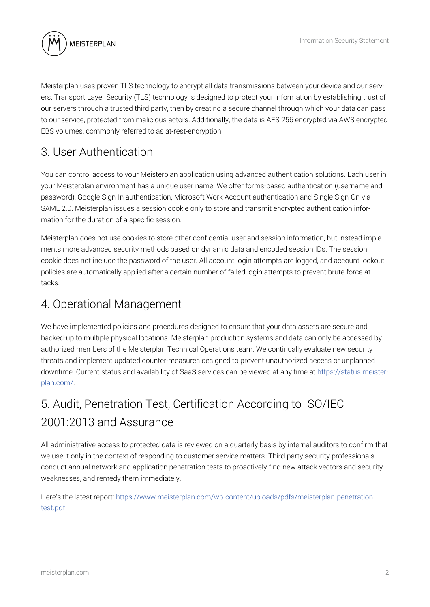

Meisterplan uses proven TLS technology to encrypt all data transmissions between your device and our servers. Transport Layer Security (TLS) technology is designed to protect your information by establishing trust of our servers through a trusted third party, then by creating a secure channel through which your data can pass to our service, protected from malicious actors. Additionally, the data is AES 256 encrypted via AWS encrypted EBS volumes, commonly referred to as at-rest-encryption.

## 3. User Authentication

You can control access to your Meisterplan application using advanced authentication solutions. Each user in your Meisterplan environment has a unique user name. We offer forms-based authentication (username and password), Google Sign-In authentication, Microsoft Work Account authentication and Single Sign-On via SAML 2.0. Meisterplan issues a session cookie only to store and transmit encrypted authentication information for the duration of a specific session.

Meisterplan does not use cookies to store other confidential user and session information, but instead implements more advanced security methods based on dynamic data and encoded session IDs. The session cookie does not include the password of the user. All account login attempts are logged, and account lockout policies are automatically applied after a certain number of failed login attempts to prevent brute force attacks.

#### 4. Operational Management

We have implemented policies and procedures designed to ensure that your data assets are secure and backed-up to multiple physical locations. Meisterplan production systems and data can only be accessed by authorized members of the Meisterplan Technical Operations team. We continually evaluate new security threats and implement updated counter-measures designed to prevent unauthorized access or unplanned downtime. Current status and availability of SaaS services can be viewed at any time a[t https://status.meister](https://status.meisterplan.com/)[plan.com/.](https://status.meisterplan.com/) 

# 5. Audit, Penetration Test, Certification According to ISO/IEC 2001:2013 and Assurance

All administrative access to protected data is reviewed on a quarterly basis by internal auditors to confirm that we use it only in the context of responding to customer service matters. Third-party security professionals conduct annual network and application penetration tests to proactively find new attack vectors and security weaknesses, and remedy them immediately.

Here's the latest report[: https://www.meisterplan.com/wp-content/uploads/pdfs/meisterplan-penetration](https://www.meisterplan.com/wp-content/uploads/pdfs/meisterplan-penetration-test.pdf)[test.pdf](https://www.meisterplan.com/wp-content/uploads/pdfs/meisterplan-penetration-test.pdf)